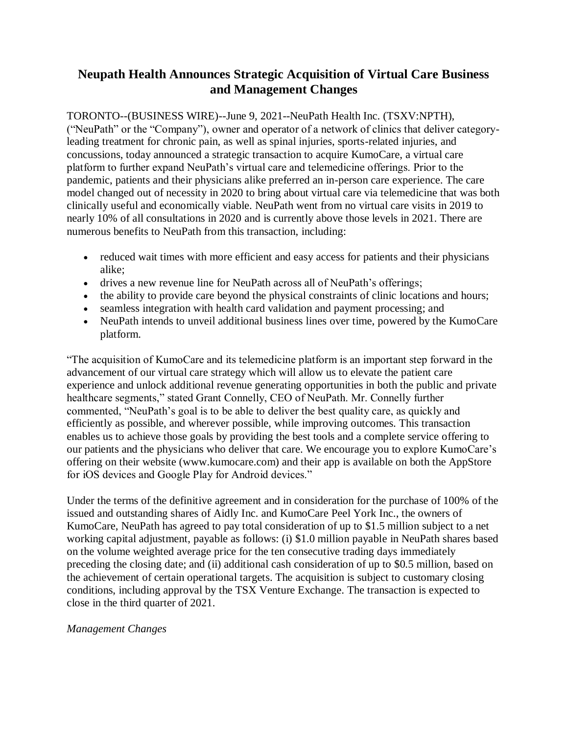# **Neupath Health Announces Strategic Acquisition of Virtual Care Business and Management Changes**

TORONTO--(BUSINESS WIRE)--June 9, 2021--NeuPath Health Inc. (TSXV:NPTH), ("NeuPath" or the "Company"), owner and operator of a network of clinics that deliver categoryleading treatment for chronic pain, as well as spinal injuries, sports-related injuries, and concussions, today announced a strategic transaction to acquire KumoCare, a virtual care platform to further expand NeuPath's virtual care and telemedicine offerings. Prior to the pandemic, patients and their physicians alike preferred an in-person care experience. The care model changed out of necessity in 2020 to bring about virtual care via telemedicine that was both clinically useful and economically viable. NeuPath went from no virtual care visits in 2019 to nearly 10% of all consultations in 2020 and is currently above those levels in 2021. There are numerous benefits to NeuPath from this transaction, including:

- reduced wait times with more efficient and easy access for patients and their physicians alike;
- drives a new revenue line for NeuPath across all of NeuPath's offerings;
- the ability to provide care beyond the physical constraints of clinic locations and hours;
- seamless integration with health card validation and payment processing; and
- NeuPath intends to unveil additional business lines over time, powered by the KumoCare platform.

"The acquisition of KumoCare and its telemedicine platform is an important step forward in the advancement of our virtual care strategy which will allow us to elevate the patient care experience and unlock additional revenue generating opportunities in both the public and private healthcare segments," stated Grant Connelly, CEO of NeuPath. Mr. Connelly further commented, "NeuPath's goal is to be able to deliver the best quality care, as quickly and efficiently as possible, and wherever possible, while improving outcomes. This transaction enables us to achieve those goals by providing the best tools and a complete service offering to our patients and the physicians who deliver that care. We encourage you to explore KumoCare's offering on their website (www.kumocare.com) and their app is available on both the AppStore for iOS devices and Google Play for Android devices."

Under the terms of the definitive agreement and in consideration for the purchase of 100% of the issued and outstanding shares of Aidly Inc. and KumoCare Peel York Inc., the owners of KumoCare, NeuPath has agreed to pay total consideration of up to \$1.5 million subject to a net working capital adjustment, payable as follows: (i) \$1.0 million payable in NeuPath shares based on the volume weighted average price for the ten consecutive trading days immediately preceding the closing date; and (ii) additional cash consideration of up to \$0.5 million, based on the achievement of certain operational targets. The acquisition is subject to customary closing conditions, including approval by the TSX Venture Exchange. The transaction is expected to close in the third quarter of 2021.

## *Management Changes*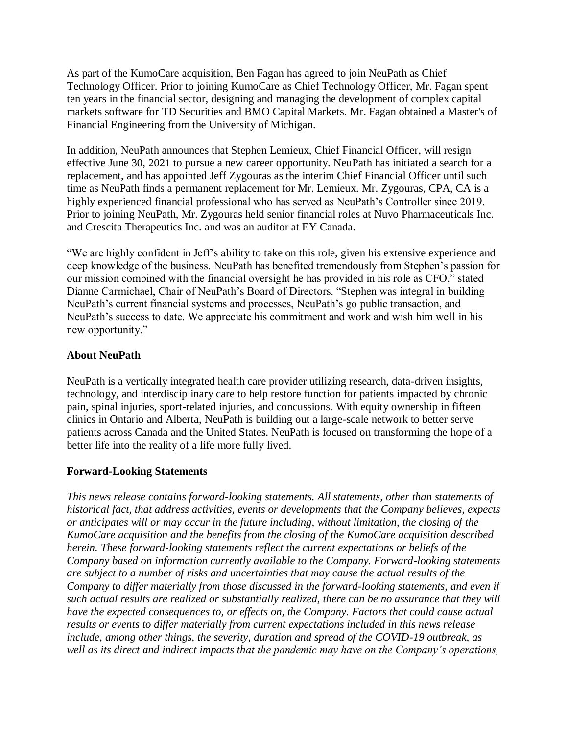As part of the KumoCare acquisition, Ben Fagan has agreed to join NeuPath as Chief Technology Officer. Prior to joining KumoCare as Chief Technology Officer, Mr. Fagan spent ten years in the financial sector, designing and managing the development of complex capital markets software for TD Securities and BMO Capital Markets. Mr. Fagan obtained a Master's of Financial Engineering from the University of Michigan.

In addition, NeuPath announces that Stephen Lemieux, Chief Financial Officer, will resign effective June 30, 2021 to pursue a new career opportunity. NeuPath has initiated a search for a replacement, and has appointed Jeff Zygouras as the interim Chief Financial Officer until such time as NeuPath finds a permanent replacement for Mr. Lemieux. Mr. Zygouras, CPA, CA is a highly experienced financial professional who has served as NeuPath's Controller since 2019. Prior to joining NeuPath, Mr. Zygouras held senior financial roles at Nuvo Pharmaceuticals Inc. and Crescita Therapeutics Inc. and was an auditor at EY Canada.

"We are highly confident in Jeff's ability to take on this role, given his extensive experience and deep knowledge of the business. NeuPath has benefited tremendously from Stephen's passion for our mission combined with the financial oversight he has provided in his role as CFO," stated Dianne Carmichael, Chair of NeuPath's Board of Directors. "Stephen was integral in building NeuPath's current financial systems and processes, NeuPath's go public transaction, and NeuPath's success to date. We appreciate his commitment and work and wish him well in his new opportunity."

#### **About NeuPath**

NeuPath is a vertically integrated health care provider utilizing research, data-driven insights, technology, and interdisciplinary care to help restore function for patients impacted by chronic pain, spinal injuries, sport-related injuries, and concussions. With equity ownership in fifteen clinics in Ontario and Alberta, NeuPath is building out a large-scale network to better serve patients across Canada and the United States. NeuPath is focused on transforming the hope of a better life into the reality of a life more fully lived.

## **Forward-Looking Statements**

*This news release contains forward-looking statements. All statements, other than statements of historical fact, that address activities, events or developments that the Company believes, expects or anticipates will or may occur in the future including, without limitation, the closing of the KumoCare acquisition and the benefits from the closing of the KumoCare acquisition described herein. These forward-looking statements reflect the current expectations or beliefs of the Company based on information currently available to the Company. Forward-looking statements are subject to a number of risks and uncertainties that may cause the actual results of the Company to differ materially from those discussed in the forward-looking statements, and even if such actual results are realized or substantially realized, there can be no assurance that they will have the expected consequences to, or effects on, the Company. Factors that could cause actual results or events to differ materially from current expectations included in this news release include, among other things, the severity, duration and spread of the COVID-19 outbreak, as well as its direct and indirect impacts that the pandemic may have on the Company's operations,*